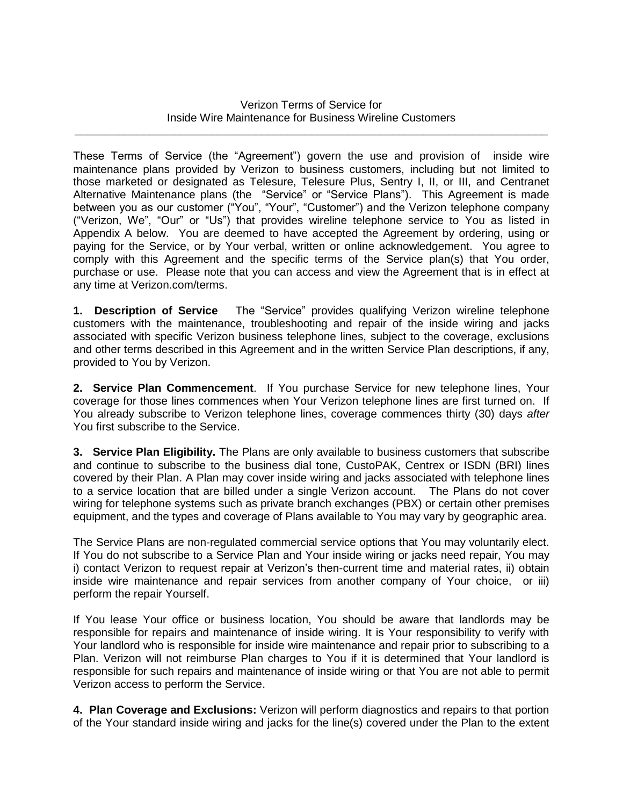## Verizon Terms of Service for Inside Wire Maintenance for Business Wireline Customers **\_\_\_\_\_\_\_\_\_\_\_\_\_\_\_\_\_\_\_\_\_\_\_\_\_\_\_\_\_\_\_\_\_\_\_\_\_\_\_\_\_\_\_\_\_\_\_\_\_\_\_\_\_\_\_\_\_\_\_\_\_\_\_\_\_\_\_\_\_\_\_\_\_\_\_\_**

These Terms of Service (the "Agreement") govern the use and provision of inside wire maintenance plans provided by Verizon to business customers, including but not limited to those marketed or designated as Telesure, Telesure Plus, Sentry I, II, or III, and Centranet Alternative Maintenance plans (the "Service" or "Service Plans"). This Agreement is made between you as our customer ("You", "Your", "Customer") and the Verizon telephone company ("Verizon, We", "Our" or "Us") that provides wireline telephone service to You as listed in Appendix A below. You are deemed to have accepted the Agreement by ordering, using or paying for the Service, or by Your verbal, written or online acknowledgement. You agree to comply with this Agreement and the specific terms of the Service plan(s) that You order, purchase or use. Please note that you can access and view the Agreement that is in effect at any time at Verizon.com/terms.

**1. Description of Service** The "Service" provides qualifying Verizon wireline telephone customers with the maintenance, troubleshooting and repair of the inside wiring and jacks associated with specific Verizon business telephone lines, subject to the coverage, exclusions and other terms described in this Agreement and in the written Service Plan descriptions, if any, provided to You by Verizon.

**2. Service Plan Commencement**. If You purchase Service for new telephone lines, Your coverage for those lines commences when Your Verizon telephone lines are first turned on. If You already subscribe to Verizon telephone lines, coverage commences thirty (30) days *after* You first subscribe to the Service.

**3. Service Plan Eligibility.** The Plans are only available to business customers that subscribe and continue to subscribe to the business dial tone, CustoPAK, Centrex or ISDN (BRI) lines covered by their Plan. A Plan may cover inside wiring and jacks associated with telephone lines to a service location that are billed under a single Verizon account. The Plans do not cover wiring for telephone systems such as private branch exchanges (PBX) or certain other premises equipment, and the types and coverage of Plans available to You may vary by geographic area.

The Service Plans are non-regulated commercial service options that You may voluntarily elect. If You do not subscribe to a Service Plan and Your inside wiring or jacks need repair, You may i) contact Verizon to request repair at Verizon's then-current time and material rates, ii) obtain inside wire maintenance and repair services from another company of Your choice, or iii) perform the repair Yourself.

If You lease Your office or business location, You should be aware that landlords may be responsible for repairs and maintenance of inside wiring. It is Your responsibility to verify with Your landlord who is responsible for inside wire maintenance and repair prior to subscribing to a Plan. Verizon will not reimburse Plan charges to You if it is determined that Your landlord is responsible for such repairs and maintenance of inside wiring or that You are not able to permit Verizon access to perform the Service.

**4. Plan Coverage and Exclusions:** Verizon will perform diagnostics and repairs to that portion of the Your standard inside wiring and jacks for the line(s) covered under the Plan to the extent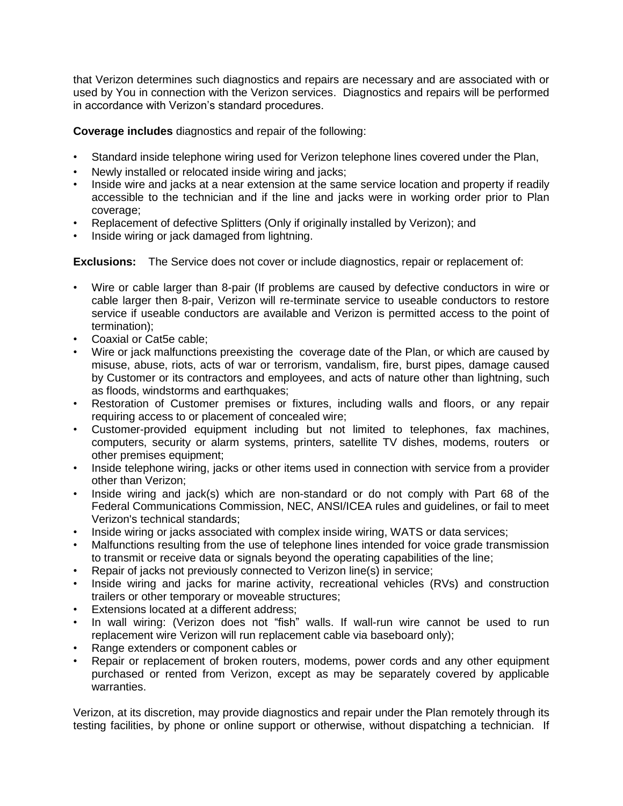that Verizon determines such diagnostics and repairs are necessary and are associated with or used by You in connection with the Verizon services. Diagnostics and repairs will be performed in accordance with Verizon's standard procedures.

**Coverage includes** diagnostics and repair of the following:

- Standard inside telephone wiring used for Verizon telephone lines covered under the Plan,
- Newly installed or relocated inside wiring and jacks:
- Inside wire and jacks at a near extension at the same service location and property if readily accessible to the technician and if the line and jacks were in working order prior to Plan coverage;
- Replacement of defective Splitters (Only if originally installed by Verizon); and
- Inside wiring or jack damaged from lightning.

**Exclusions:** The Service does not cover or include diagnostics, repair or replacement of:

- Wire or cable larger than 8-pair (If problems are caused by defective conductors in wire or cable larger then 8-pair, Verizon will re-terminate service to useable conductors to restore service if useable conductors are available and Verizon is permitted access to the point of termination);
- Coaxial or Cat5e cable;
- Wire or jack malfunctions preexisting the coverage date of the Plan, or which are caused by misuse, abuse, riots, acts of war or terrorism, vandalism, fire, burst pipes, damage caused by Customer or its contractors and employees, and acts of nature other than lightning, such as floods, windstorms and earthquakes;
- Restoration of Customer premises or fixtures, including walls and floors, or any repair requiring access to or placement of concealed wire;
- Customer-provided equipment including but not limited to telephones, fax machines, computers, security or alarm systems, printers, satellite TV dishes, modems, routers or other premises equipment;
- Inside telephone wiring, jacks or other items used in connection with service from a provider other than Verizon;
- Inside wiring and jack(s) which are non-standard or do not comply with Part 68 of the Federal Communications Commission, NEC, ANSI/ICEA rules and guidelines, or fail to meet Verizon's technical standards;
- Inside wiring or jacks associated with complex inside wiring, WATS or data services;
- Malfunctions resulting from the use of telephone lines intended for voice grade transmission to transmit or receive data or signals beyond the operating capabilities of the line;
- Repair of jacks not previously connected to Verizon line(s) in service;
- Inside wiring and jacks for marine activity, recreational vehicles (RVs) and construction trailers or other temporary or moveable structures;
- Extensions located at a different address:
- In wall wiring: (Verizon does not "fish" walls. If wall-run wire cannot be used to run replacement wire Verizon will run replacement cable via baseboard only);
- Range extenders or component cables or
- Repair or replacement of broken routers, modems, power cords and any other equipment purchased or rented from Verizon, except as may be separately covered by applicable warranties.

Verizon, at its discretion, may provide diagnostics and repair under the Plan remotely through its testing facilities, by phone or online support or otherwise, without dispatching a technician. If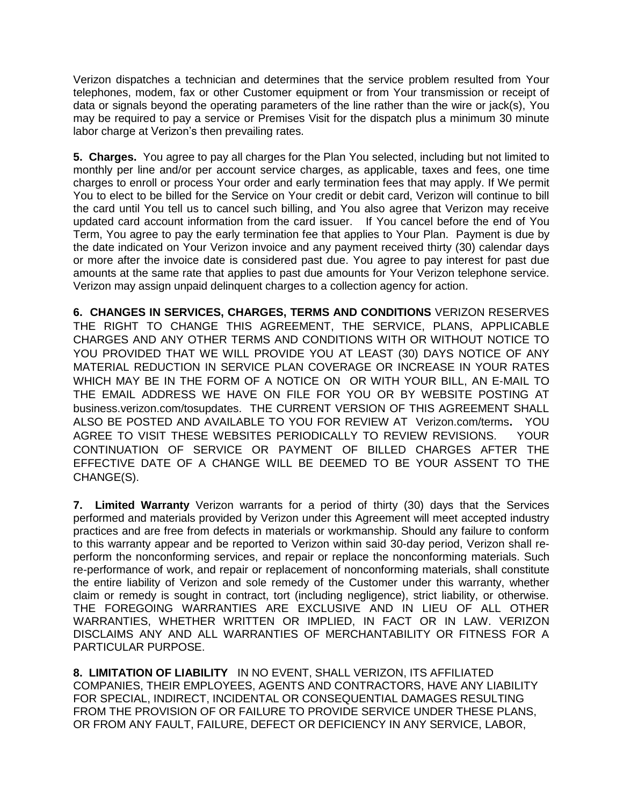Verizon dispatches a technician and determines that the service problem resulted from Your telephones, modem, fax or other Customer equipment or from Your transmission or receipt of data or signals beyond the operating parameters of the line rather than the wire or jack(s), You may be required to pay a service or Premises Visit for the dispatch plus a minimum 30 minute labor charge at Verizon's then prevailing rates.

**5. Charges.** You agree to pay all charges for the Plan You selected, including but not limited to monthly per line and/or per account service charges, as applicable, taxes and fees, one time charges to enroll or process Your order and early termination fees that may apply. If We permit You to elect to be billed for the Service on Your credit or debit card, Verizon will continue to bill the card until You tell us to cancel such billing, and You also agree that Verizon may receive updated card account information from the card issuer. If You cancel before the end of You Term, You agree to pay the early termination fee that applies to Your Plan. Payment is due by the date indicated on Your Verizon invoice and any payment received thirty (30) calendar days or more after the invoice date is considered past due. You agree to pay interest for past due amounts at the same rate that applies to past due amounts for Your Verizon telephone service. Verizon may assign unpaid delinquent charges to a collection agency for action.

**6. CHANGES IN SERVICES, CHARGES, TERMS AND CONDITIONS** VERIZON RESERVES THE RIGHT TO CHANGE THIS AGREEMENT, THE SERVICE, PLANS, APPLICABLE CHARGES AND ANY OTHER TERMS AND CONDITIONS WITH OR WITHOUT NOTICE TO YOU PROVIDED THAT WE WILL PROVIDE YOU AT LEAST (30) DAYS NOTICE OF ANY MATERIAL REDUCTION IN SERVICE PLAN COVERAGE OR INCREASE IN YOUR RATES WHICH MAY BE IN THE FORM OF A NOTICE ON OR WITH YOUR BILL, AN E-MAIL TO THE EMAIL ADDRESS WE HAVE ON FILE FOR YOU OR BY WEBSITE POSTING AT business.verizon.com/tosupdates. THE CURRENT VERSION OF THIS AGREEMENT SHALL ALSO BE POSTED AND AVAILABLE TO YOU FOR REVIEW AT Verizon.com/terms**.** YOU AGREE TO VISIT THESE WEBSITES PERIODICALLY TO REVIEW REVISIONS. YOUR CONTINUATION OF SERVICE OR PAYMENT OF BILLED CHARGES AFTER THE EFFECTIVE DATE OF A CHANGE WILL BE DEEMED TO BE YOUR ASSENT TO THE CHANGE(S).

**7. Limited Warranty** Verizon warrants for a period of thirty (30) days that the Services performed and materials provided by Verizon under this Agreement will meet accepted industry practices and are free from defects in materials or workmanship. Should any failure to conform to this warranty appear and be reported to Verizon within said 30-day period, Verizon shall reperform the nonconforming services, and repair or replace the nonconforming materials. Such re-performance of work, and repair or replacement of nonconforming materials, shall constitute the entire liability of Verizon and sole remedy of the Customer under this warranty, whether claim or remedy is sought in contract, tort (including negligence), strict liability, or otherwise. THE FOREGOING WARRANTIES ARE EXCLUSIVE AND IN LIEU OF ALL OTHER WARRANTIES, WHETHER WRITTEN OR IMPLIED, IN FACT OR IN LAW. VERIZON DISCLAIMS ANY AND ALL WARRANTIES OF MERCHANTABILITY OR FITNESS FOR A PARTICULAR PURPOSE.

**8. LIMITATION OF LIABILITY** IN NO EVENT, SHALL VERIZON, ITS AFFILIATED COMPANIES, THEIR EMPLOYEES, AGENTS AND CONTRACTORS, HAVE ANY LIABILITY FOR SPECIAL, INDIRECT, INCIDENTAL OR CONSEQUENTIAL DAMAGES RESULTING FROM THE PROVISION OF OR FAILURE TO PROVIDE SERVICE UNDER THESE PLANS, OR FROM ANY FAULT, FAILURE, DEFECT OR DEFICIENCY IN ANY SERVICE, LABOR,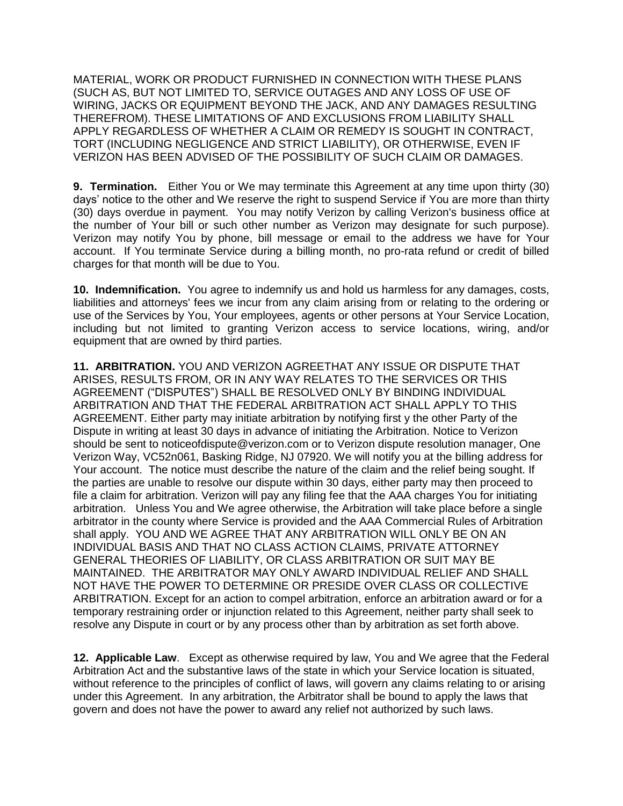MATERIAL, WORK OR PRODUCT FURNISHED IN CONNECTION WITH THESE PLANS (SUCH AS, BUT NOT LIMITED TO, SERVICE OUTAGES AND ANY LOSS OF USE OF WIRING, JACKS OR EQUIPMENT BEYOND THE JACK, AND ANY DAMAGES RESULTING THEREFROM). THESE LIMITATIONS OF AND EXCLUSIONS FROM LIABILITY SHALL APPLY REGARDLESS OF WHETHER A CLAIM OR REMEDY IS SOUGHT IN CONTRACT, TORT (INCLUDING NEGLIGENCE AND STRICT LIABILITY), OR OTHERWISE, EVEN IF VERIZON HAS BEEN ADVISED OF THE POSSIBILITY OF SUCH CLAIM OR DAMAGES.

**9. Termination.** Either You or We may terminate this Agreement at any time upon thirty (30) days' notice to the other and We reserve the right to suspend Service if You are more than thirty (30) days overdue in payment. You may notify Verizon by calling Verizon's business office at the number of Your bill or such other number as Verizon may designate for such purpose). Verizon may notify You by phone, bill message or email to the address we have for Your account. If You terminate Service during a billing month, no pro-rata refund or credit of billed charges for that month will be due to You.

**10. Indemnification.** You agree to indemnify us and hold us harmless for any damages, costs, liabilities and attorneys' fees we incur from any claim arising from or relating to the ordering or use of the Services by You, Your employees, agents or other persons at Your Service Location, including but not limited to granting Verizon access to service locations, wiring, and/or equipment that are owned by third parties.

**11. ARBITRATION.** YOU AND VERIZON AGREETHAT ANY ISSUE OR DISPUTE THAT ARISES, RESULTS FROM, OR IN ANY WAY RELATES TO THE SERVICES OR THIS AGREEMENT ("DISPUTES") SHALL BE RESOLVED ONLY BY BINDING INDIVIDUAL ARBITRATION AND THAT THE FEDERAL ARBITRATION ACT SHALL APPLY TO THIS AGREEMENT. Either party may initiate arbitration by notifying first y the other Party of the Dispute in writing at least 30 days in advance of initiating the Arbitration. Notice to Verizon should be sent to noticeofdispute@verizon.com or to Verizon dispute resolution manager, One Verizon Way, VC52n061, Basking Ridge, NJ 07920. We will notify you at the billing address for Your account. The notice must describe the nature of the claim and the relief being sought. If the parties are unable to resolve our dispute within 30 days, either party may then proceed to file a claim for arbitration. Verizon will pay any filing fee that the AAA charges You for initiating arbitration. Unless You and We agree otherwise, the Arbitration will take place before a single arbitrator in the county where Service is provided and the AAA Commercial Rules of Arbitration shall apply. YOU AND WE AGREE THAT ANY ARBITRATION WILL ONLY BE ON AN INDIVIDUAL BASIS AND THAT NO CLASS ACTION CLAIMS, PRIVATE ATTORNEY GENERAL THEORIES OF LIABILITY, OR CLASS ARBITRATION OR SUIT MAY BE MAINTAINED. THE ARBITRATOR MAY ONLY AWARD INDIVIDUAL RELIEF AND SHALL NOT HAVE THE POWER TO DETERMINE OR PRESIDE OVER CLASS OR COLLECTIVE ARBITRATION. Except for an action to compel arbitration, enforce an arbitration award or for a temporary restraining order or injunction related to this Agreement, neither party shall seek to resolve any Dispute in court or by any process other than by arbitration as set forth above.

**12. Applicable Law**. Except as otherwise required by law, You and We agree that the Federal Arbitration Act and the substantive laws of the state in which your Service location is situated, without reference to the principles of conflict of laws, will govern any claims relating to or arising under this Agreement. In any arbitration, the Arbitrator shall be bound to apply the laws that govern and does not have the power to award any relief not authorized by such laws.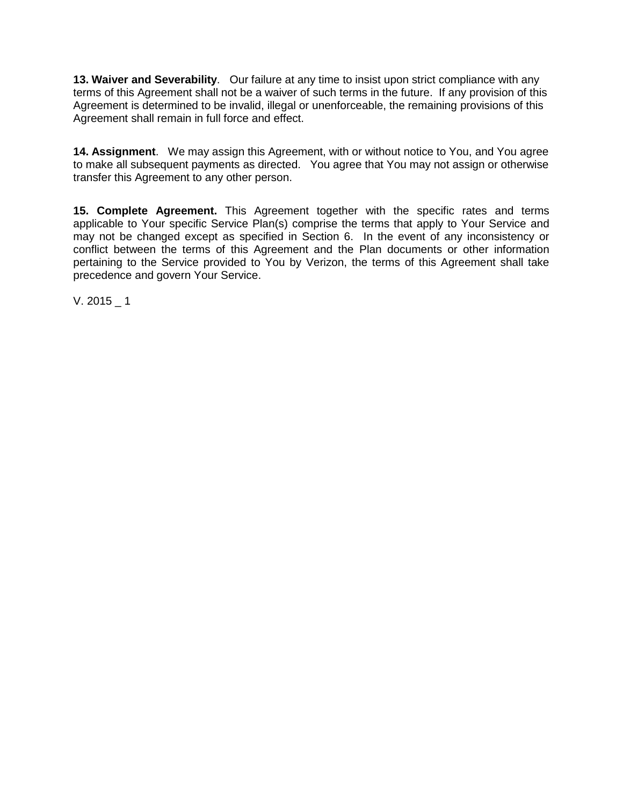**13. Waiver and Severability**. Our failure at any time to insist upon strict compliance with any terms of this Agreement shall not be a waiver of such terms in the future. If any provision of this Agreement is determined to be invalid, illegal or unenforceable, the remaining provisions of this Agreement shall remain in full force and effect.

**14. Assignment**. We may assign this Agreement, with or without notice to You, and You agree to make all subsequent payments as directed. You agree that You may not assign or otherwise transfer this Agreement to any other person.

**15. Complete Agreement.** This Agreement together with the specific rates and terms applicable to Your specific Service Plan(s) comprise the terms that apply to Your Service and may not be changed except as specified in Section 6. In the event of any inconsistency or conflict between the terms of this Agreement and the Plan documents or other information pertaining to the Service provided to You by Verizon, the terms of this Agreement shall take precedence and govern Your Service.

V. 2015  $\_ 1$